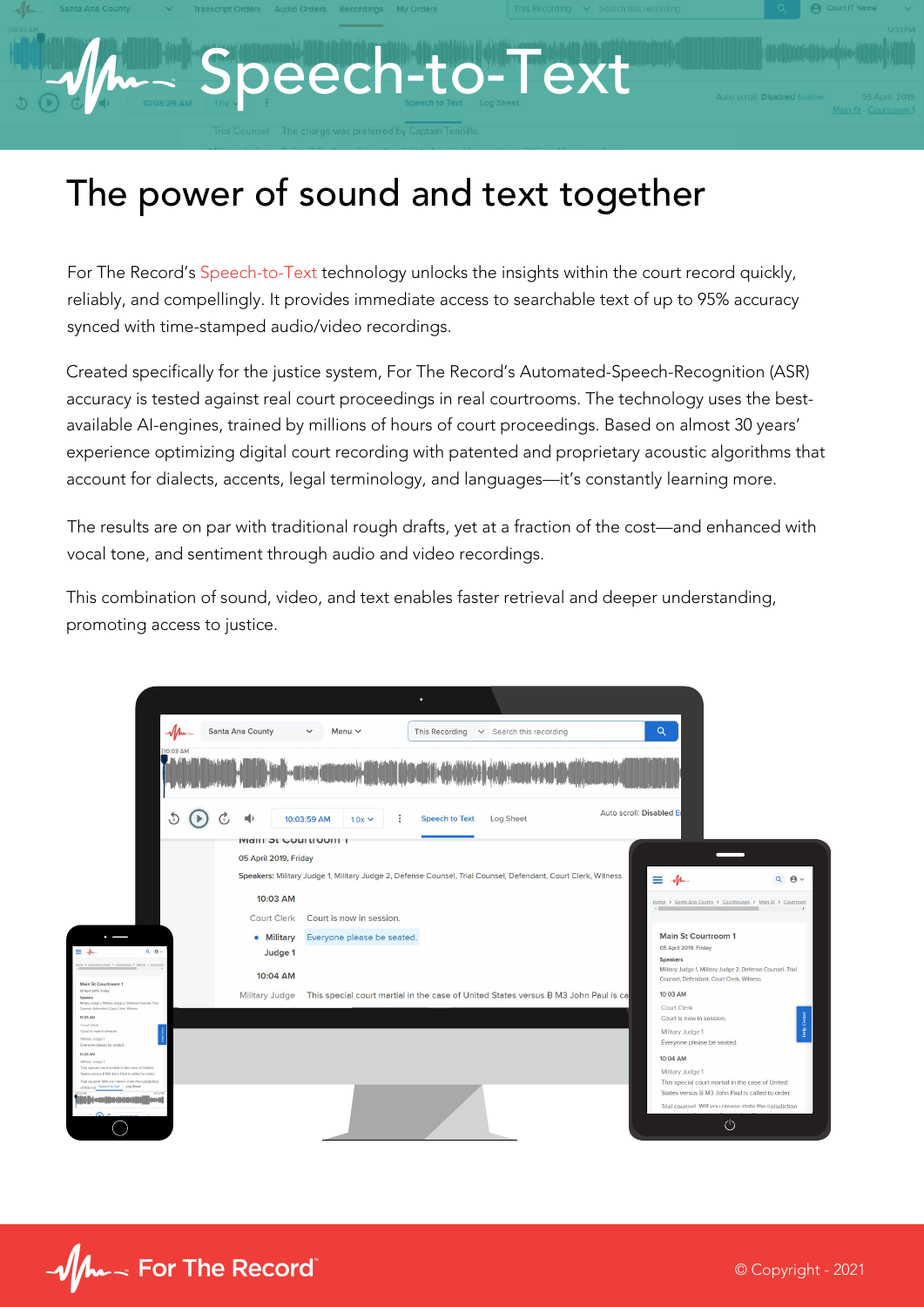## Speech-to-Text

## The power of sound and text together

For The Record's Speech-to-Text technology unlocks the insights within the court record quickly, reliably, and compellingly. It provides immediate access to searchable text of up to 95% accuracy synced with time-stamped audio/video recordings.

Created specifically for the justice system, For The Record's Automated-Speech-Recognition (ASR) accuracy is tested against real court proceedings in real courtrooms. The technology uses the bestavailable AI-engines, trained by millions of hours of court proceedings. Based on almost 30 years' experience optimizing digital court recording with patented and proprietary acoustic algorithms that account for dialects, accents, legal terminology, and languages—it's constantly learning more.

The results are on par with traditional rough drafts, yet at a fraction of the cost—and enhanced with vocal tone, and sentiment through audio and video recordings.

This combination of sound, video, and text enables faster retrieval and deeper understanding, promoting access to justice.